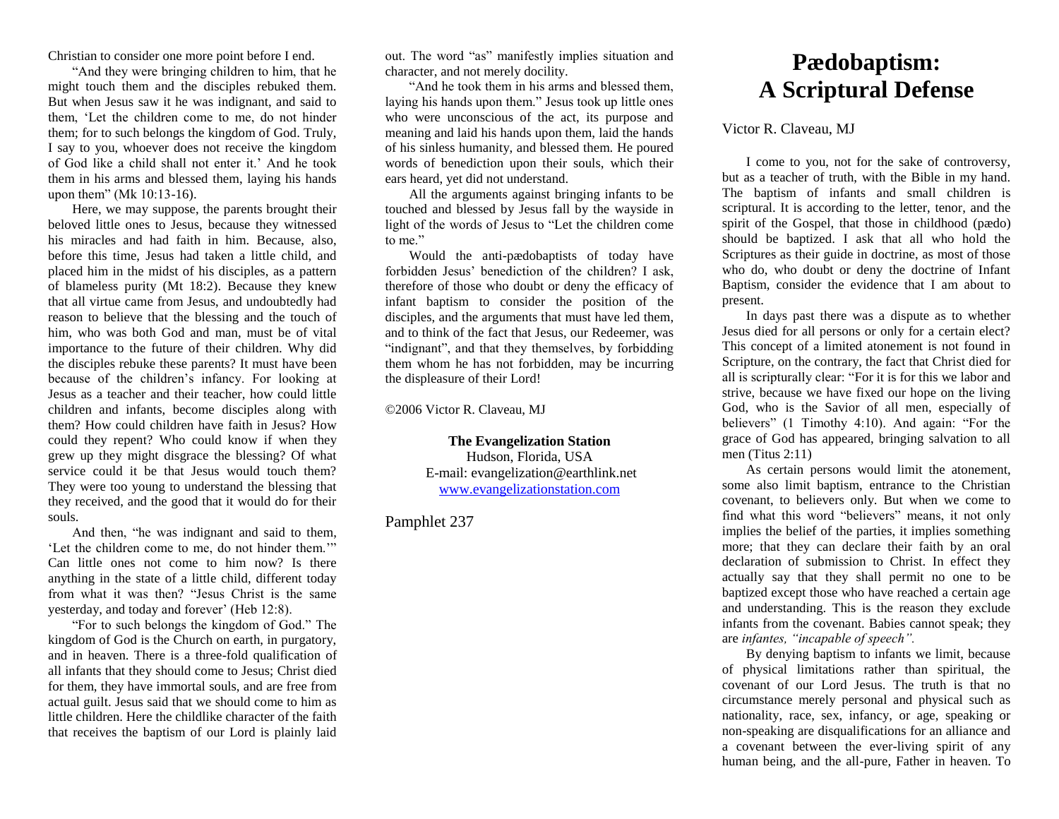Christian to consider one more point before I end.

"And they were bringing children to him, that he might touch them and the disciples rebuked them. But when Jesus saw it he was indignant, and said to them, 'Let the children come to me, do not hinder them; for to such belongs the kingdom of God. Truly, I say to you, whoever does not receive the kingdom of God like a child shall not enter it.' And he took them in his arms and blessed them, laying his hands upon them" (Mk 10:13-16).

Here, we may suppose, the parents brought their beloved little ones to Jesus, because they witnessed his miracles and had faith in him. Because, also, before this time, Jesus had taken a little child, and placed him in the midst of his disciples, as a pattern of blameless purity (Mt 18:2). Because they knew that all virtue came from Jesus, and undoubtedly had reason to believe that the blessing and the touch of him, who was both God and man, must be of vital importance to the future of their children. Why did the disciples rebuke these parents? It must have been because of the children's infancy. For looking at Jesus as a teacher and their teacher, how could little children and infants, become disciples along with them? How could children have faith in Jesus? How could they repent? Who could know if when they grew up they might disgrace the blessing? Of what service could it be that Jesus would touch them? They were too young to understand the blessing that they received, and the good that it would do for their souls.

And then, "he was indignant and said to them, 'Let the children come to me, do not hinder them.'" Can little ones not come to him now? Is there anything in the state of a little child, different today from what it was then? "Jesus Christ is the same yesterday, and today and forever' (Heb 12:8).

"For to such belongs the kingdom of God." The kingdom of God is the Church on earth, in purgatory, and in heaven. There is a three-fold qualification of all infants that they should come to Jesus; Christ died for them, they have immortal souls, and are free from actual guilt. Jesus said that we should come to him as little children. Here the childlike character of the faith that receives the baptism of our Lord is plainly laid

out. The word "as" manifestly implies situation and character, and not merely docility.

"And he took them in his arms and blessed them, laying his hands upon them." Jesus took up little ones who were unconscious of the act, its purpose and meaning and laid his hands upon them, laid the hands of his sinless humanity, and blessed them. He poured words of benediction upon their souls, which their ears heard, yet did not understand.

All the arguments against bringing infants to be touched and blessed by Jesus fall by the wayside in light of the words of Jesus to "Let the children come to me."

Would the anti-pædobaptists of today have forbidden Jesus' benediction of the children? I ask, therefore of those who doubt or deny the efficacy of infant baptism to consider the position of the disciples, and the arguments that must have led them, and to think of the fact that Jesus, our Redeemer, was "indignant", and that they themselves, by forbidding them whom he has not forbidden, may be incurring the displeasure of their Lord!

©2006 Victor R. Claveau, MJ

**The Evangelization Station** Hudson, Florida, USA E-mail: evangelization@earthlink.net [www.evangelizationstation.com](http://www.pjpiisoe.org/)

Pamphlet 237

## **Pædobaptism: A Scriptural Defense**

## Victor R. Claveau, MJ

I come to you, not for the sake of controversy, but as a teacher of truth, with the Bible in my hand. The baptism of infants and small children is scriptural. It is according to the letter, tenor, and the spirit of the Gospel, that those in childhood (pædo) should be baptized. I ask that all who hold the Scriptures as their guide in doctrine, as most of those who do, who doubt or deny the doctrine of Infant Baptism, consider the evidence that I am about to present.

In days past there was a dispute as to whether Jesus died for all persons or only for a certain elect? This concept of a limited atonement is not found in Scripture, on the contrary, the fact that Christ died for all is scripturally clear: "For it is for this we labor and strive, because we have fixed our hope on the living God, who is the Savior of all men, especially of believers" (1 Timothy 4:10). And again: "For the grace of God has appeared, bringing salvation to all men (Titus  $2:11$ )

As certain persons would limit the atonement, some also limit baptism, entrance to the Christian covenant, to believers only. But when we come to find what this word "believers" means, it not only implies the belief of the parties, it implies something more; that they can declare their faith by an oral declaration of submission to Christ. In effect they actually say that they shall permit no one to be baptized except those who have reached a certain age and understanding. This is the reason they exclude infants from the covenant. Babies cannot speak; they are *infantes, "incapable of speech".*

By denying baptism to infants we limit, because of physical limitations rather than spiritual, the covenant of our Lord Jesus. The truth is that no circumstance merely personal and physical such as nationality, race, sex, infancy, or age, speaking or non-speaking are disqualifications for an alliance and a covenant between the ever-living spirit of any human being, and the all-pure, Father in heaven. To